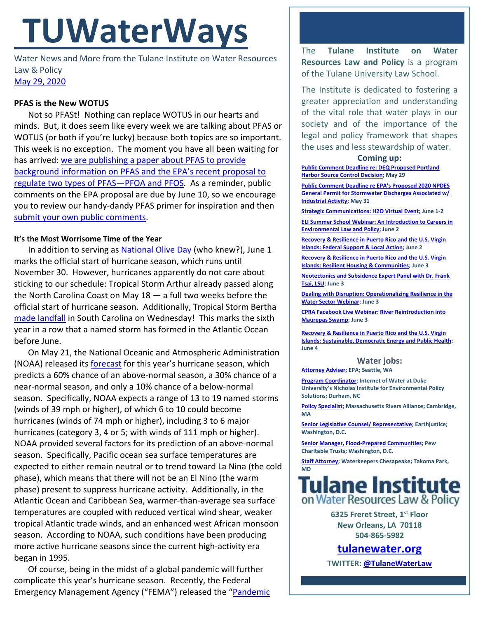# **TUWaterWays**

Water News and More from the Tulane Institute on Water Resources Law & Policy [May 29, 2020](https://thisdayinwaterhistory.wordpress.com/)

# **PFAS is the New WOTUS**

Not so PFASt! Nothing can replace WOTUS in our hearts and minds. But, it does seem like every week we are talking about PFAS or WOTUS (or both if you're lucky) because both topics are so important. This week is no exception. The moment you have all been waiting for has arrived: [we are publishing a paper about](https://a21005ea-f0f0-4cff-a527-7c658373c740.filesusr.com/ugd/32079b_480b4be0fc9a4101b7095c7103e00330.pdf) PFAS to provide [background information on PFAS and the EPA's recent proposal to](https://a21005ea-f0f0-4cff-a527-7c658373c740.filesusr.com/ugd/32079b_480b4be0fc9a4101b7095c7103e00330.pdf)  [regulate two types of PFAS](https://a21005ea-f0f0-4cff-a527-7c658373c740.filesusr.com/ugd/32079b_480b4be0fc9a4101b7095c7103e00330.pdf)-PFOA and PFOS. As a reminder, public comments on the EPA proposal are due by June 10, so we encourage you to review our handy-dandy PFAS primer for inspiration and then [submit your own public comments.](https://www.regulations.gov/docket?D=EPA-HQ-OW-2019-0583)

## **It's the Most Worrisome Time of the Year**

In addition to serving as [National Olive Day](https://nationaltoday.com/national-olive-day/) (who knew?), June 1 marks the official start of hurricane season, which runs until November 30. However, hurricanes apparently do not care about sticking to our schedule: Tropical Storm Arthur already passed along the North Carolina Coast on May 18 — a full two weeks before the official start of hurricane season. Additionally, Tropical Storm Bertha [made landfall](https://www.accuweather.com/en/hurricane/tropical-storm-bertha-makes-landfall-in-south-carolina/746638) in South Carolina on Wednesday! This marks the sixth year in a row that a named storm has formed in the Atlantic Ocean before June.

On May 21, the National Oceanic and Atmospheric Administration (NOAA) released its [forecast](https://www.noaa.gov/media-release/busy-atlantic-hurricane-season-predicted-for-2020) for this year's hurricane season, which predicts a 60% chance of an above-normal season, a 30% chance of a near-normal season, and only a 10% chance of a below-normal season. Specifically, NOAA expects a range of 13 to 19 named storms (winds of 39 mph or higher), of which 6 to 10 could become hurricanes (winds of 74 mph or higher), including 3 to 6 major hurricanes (category 3, 4 or 5; with winds of 111 mph or higher). NOAA provided several factors for its prediction of an above-normal season. Specifically, Pacific ocean sea surface temperatures are expected to either remain neutral or to trend toward La Nina (the cold phase), which means that there will not be an El Nino (the warm phase) present to suppress hurricane activity. Additionally, in the Atlantic Ocean and Caribbean Sea, warmer-than-average sea surface temperatures are coupled with reduced vertical wind shear, weaker tropical Atlantic trade winds, and an enhanced west African monsoon season. According to NOAA, such conditions have been producing more active hurricane seasons since the current high-activity era began in 1995.

Of course, being in the midst of a global pandemic will further complicate this year's hurricane season. Recently, the Federal Emergency Management Agency ("FEMA") released the "Pandemic The **Tulane Institute on Water Resources Law and Policy** is a program of the Tulane University Law School.

The Institute is dedicated to fostering a greater appreciation and understanding of the vital role that water plays in our society and of the importance of the legal and policy framework that shapes the uses and less stewardship of water.

#### **Coming up:**

**[Public Comment Deadline re: DEQ Proposed Portland](https://pamplinmedia.com/documents/artdocs/00003671953610-0644.pdf)  [Harbor Source Control Decision;](https://pamplinmedia.com/documents/artdocs/00003671953610-0644.pdf) May 29**

**[Public Comment Deadline re EPA's Proposed 2020 NPDES](https://www.regulations.gov/docket?D=EPA-HQ-OW-2019-0372)  [General Permit for Stormwater Discharges Associated w/](https://www.regulations.gov/docket?D=EPA-HQ-OW-2019-0372)  [Industrial Activity;](https://www.regulations.gov/docket?D=EPA-HQ-OW-2019-0372) May 31**

**[Strategic Communications: H2O Virtual Event;](https://www.nacwa.org/conferences-events/strategic-communications-h2o-workshop) June 1-2**

**[ELI Summer School Webinar: An Introduction to Careers in](https://www.eli.org/events/introduction-careers-environmental-law-and-policy-eli-summer-school-2020)  [Environmental Law and Policy;](https://www.eli.org/events/introduction-careers-environmental-law-and-policy-eli-summer-school-2020) June 2**

**[Recovery & Resilience in Puerto Rico and the U.S. Virgin](https://www.eesi.org/06020420prusvi#rsvp)  [Islands: Federal Support & Local Action;](https://www.eesi.org/06020420prusvi#rsvp) June 2**

**[Recovery & Resilience in Puerto Rico and the U.S. Virgin](https://www.eesi.org/06020420prusvi#rsvp)  [Islands: Resilient Housing & Communities;](https://www.eesi.org/06020420prusvi#rsvp) June 3**

**[Neotectonics and Subsidence Expert Panel with Dr. Frank](https://thewaterinstitute.zoom.us/j/91637262307?pwd=cW15YUpzdDNSdXZoUFhzU2VwWE9qUT09&status=success)  [Tsai, LSU;](https://thewaterinstitute.zoom.us/j/91637262307?pwd=cW15YUpzdDNSdXZoUFhzU2VwWE9qUT09&status=success) June 3**

**[Dealing with Disruption: Operationalizing Resilience in the](https://www.nacwa.org/conferences-events/forums-workshops-seminars-executive-education/resilience-webinar-series)  [Water Sector Webinar;](https://www.nacwa.org/conferences-events/forums-workshops-seminars-executive-education/resilience-webinar-series) June 3**

**[CPRA Facebook Live Webinar: River Reintroduction into](https://coastal.la.gov/webinar-wednesdays/)  [Maurepas Swamp;](https://coastal.la.gov/webinar-wednesdays/) June 3**

**[Recovery & Resilience in Puerto Rico and the U.S. Virgin](https://www.eesi.org/06020420prusvi#rsvp)  [Islands: Sustainable, Democratic Energy and Public Health;](https://www.eesi.org/06020420prusvi#rsvp)  June 4**

#### **Water jobs:**

**[Attorney Adviser;](https://www.usajobs.gov/GetJob/ViewDetails/568366400#how-to-apply) EPA; Seattle, WA**

**[Program Coordinator;](https://careers.duke.edu/job/Durham-PROGRAM-COORD-NC-27710/648539400/?locale=en_US) Internet of Water at Duke University's Nicholas Institute for Environmental Policy Solutions; Durham, NC**

**[Policy Specialist;](http://massriversalliance.org/about/employment-opportunities/) Massachusetts Rivers Alliance; Cambridge, MA**

**[Senior Legislative Counsel/ Representative;](https://jobs.jobvite.com/earthjustice/job/oBYHcfwc?nl=1) Earthjustice; Washington, D.C.**

**[Senior Manager, Flood-Prepared Communities;](https://jobs-pct.icims.com/jobs/6263/senior-manager%2c-flood-prepared-communities/job?mobile=false&width=990&height=500&bga=true&needsRedirect=false&jan1offset=-300&jun1offset=-240) Pew Charitable Trusts; Washington, D.C.**

**[Staff Attorney;](https://www.idealist.org/en/nonprofit-job/ecf217fd6a5849c8939145bedd13ae6e-waterkeepers-chesapeake-staff-attorney-waterkeepers-chesapeake-takoma-park) Waterkeepers Chesapeake; Takoma Park, MD**



**6325 Freret Street, 1st Floor New Orleans, LA 70118 504-865-5982**

# **[tulanewater.org](file:///C:/Users/waterlaw/Downloads/tulanewater.org)**

**TWITTER[: @TulaneWaterLaw](http://www.twitter.com/TulaneWaterLaw)**